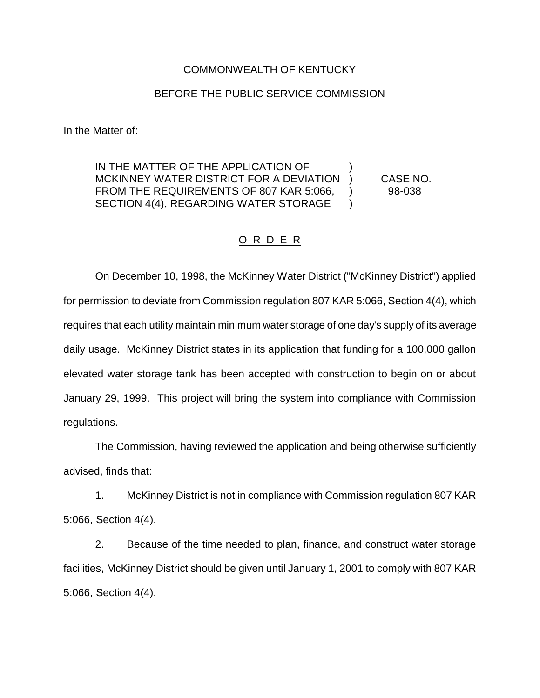## COMMONWEALTH OF KENTUCKY

## BEFORE THE PUBLIC SERVICE COMMISSION

In the Matter of:

IN THE MATTER OF THE APPLICATION OF MCKINNEY WATER DISTRICT FOR A DEVIATION ) CASE NO. FROM THE REQUIREMENTS OF 807 KAR 5:066, 198-038 SECTION 4(4), REGARDING WATER STORAGE )

## O R D E R

On December 10, 1998, the McKinney Water District ("McKinney District") applied for permission to deviate from Commission regulation 807 KAR 5:066, Section 4(4), which requires that each utility maintain minimum water storage of one day's supply of its average daily usage. McKinney District states in its application that funding for a 100,000 gallon elevated water storage tank has been accepted with construction to begin on or about January 29, 1999. This project will bring the system into compliance with Commission regulations.

The Commission, having reviewed the application and being otherwise sufficiently advised, finds that:

1. McKinney District is not in compliance with Commission regulation 807 KAR 5:066, Section 4(4).

2. Because of the time needed to plan, finance, and construct water storage facilities, McKinney District should be given until January 1, 2001 to comply with 807 KAR 5:066, Section 4(4).